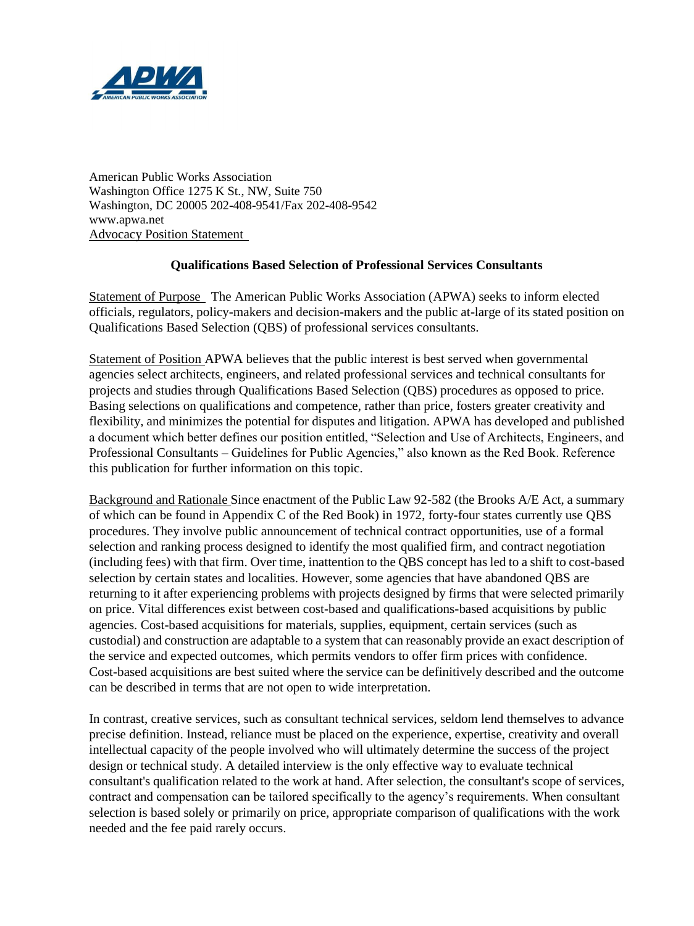

American Public Works Association Washington Office 1275 K St., NW, Suite 750 Washington, DC 20005 202-408-9541/Fax 202-408-9542 www.apwa.net Advocacy Position Statement

## **Qualifications Based Selection of Professional Services Consultants**

Statement of Purpose The American Public Works Association (APWA) seeks to inform elected officials, regulators, policy-makers and decision-makers and the public at-large of its stated position on Qualifications Based Selection (QBS) of professional services consultants.

Statement of Position APWA believes that the public interest is best served when governmental agencies select architects, engineers, and related professional services and technical consultants for projects and studies through Qualifications Based Selection (QBS) procedures as opposed to price. Basing selections on qualifications and competence, rather than price, fosters greater creativity and flexibility, and minimizes the potential for disputes and litigation. APWA has developed and published a document which better defines our position entitled, "Selection and Use of Architects, Engineers, and Professional Consultants – Guidelines for Public Agencies," also known as the Red Book. Reference this publication for further information on this topic.

Background and Rationale Since enactment of the Public Law 92-582 (the Brooks A/E Act, a summary of which can be found in Appendix C of the Red Book) in 1972, forty-four states currently use QBS procedures. They involve public announcement of technical contract opportunities, use of a formal selection and ranking process designed to identify the most qualified firm, and contract negotiation (including fees) with that firm. Over time, inattention to the QBS concept has led to a shift to cost-based selection by certain states and localities. However, some agencies that have abandoned QBS are returning to it after experiencing problems with projects designed by firms that were selected primarily on price. Vital differences exist between cost-based and qualifications-based acquisitions by public agencies. Cost-based acquisitions for materials, supplies, equipment, certain services (such as custodial) and construction are adaptable to a system that can reasonably provide an exact description of the service and expected outcomes, which permits vendors to offer firm prices with confidence. Cost-based acquisitions are best suited where the service can be definitively described and the outcome can be described in terms that are not open to wide interpretation.

In contrast, creative services, such as consultant technical services, seldom lend themselves to advance precise definition. Instead, reliance must be placed on the experience, expertise, creativity and overall intellectual capacity of the people involved who will ultimately determine the success of the project design or technical study. A detailed interview is the only effective way to evaluate technical consultant's qualification related to the work at hand. After selection, the consultant's scope of services, contract and compensation can be tailored specifically to the agency's requirements. When consultant selection is based solely or primarily on price, appropriate comparison of qualifications with the work needed and the fee paid rarely occurs.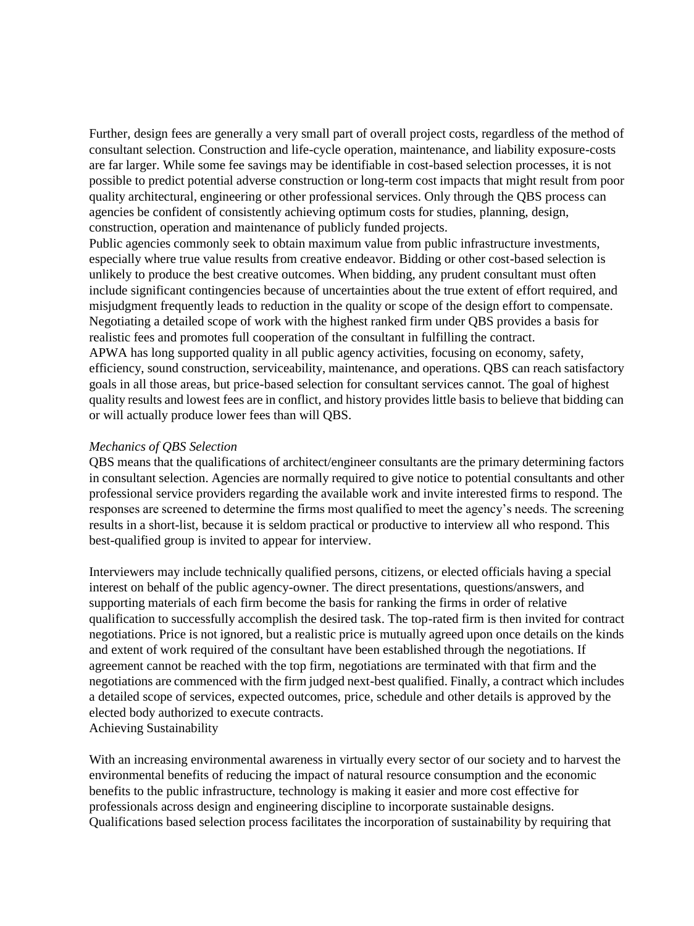Further, design fees are generally a very small part of overall project costs, regardless of the method of consultant selection. Construction and life-cycle operation, maintenance, and liability exposure-costs are far larger. While some fee savings may be identifiable in cost-based selection processes, it is not possible to predict potential adverse construction or long-term cost impacts that might result from poor quality architectural, engineering or other professional services. Only through the QBS process can agencies be confident of consistently achieving optimum costs for studies, planning, design, construction, operation and maintenance of publicly funded projects.

Public agencies commonly seek to obtain maximum value from public infrastructure investments, especially where true value results from creative endeavor. Bidding or other cost-based selection is unlikely to produce the best creative outcomes. When bidding, any prudent consultant must often include significant contingencies because of uncertainties about the true extent of effort required, and misjudgment frequently leads to reduction in the quality or scope of the design effort to compensate. Negotiating a detailed scope of work with the highest ranked firm under QBS provides a basis for realistic fees and promotes full cooperation of the consultant in fulfilling the contract. APWA has long supported quality in all public agency activities, focusing on economy, safety, efficiency, sound construction, serviceability, maintenance, and operations. QBS can reach satisfactory goals in all those areas, but price-based selection for consultant services cannot. The goal of highest quality results and lowest fees are in conflict, and history provides little basis to believe that bidding can or will actually produce lower fees than will QBS.

## *Mechanics of QBS Selection*

QBS means that the qualifications of architect/engineer consultants are the primary determining factors in consultant selection. Agencies are normally required to give notice to potential consultants and other professional service providers regarding the available work and invite interested firms to respond. The responses are screened to determine the firms most qualified to meet the agency's needs. The screening results in a short-list, because it is seldom practical or productive to interview all who respond. This best-qualified group is invited to appear for interview.

Interviewers may include technically qualified persons, citizens, or elected officials having a special interest on behalf of the public agency-owner. The direct presentations, questions/answers, and supporting materials of each firm become the basis for ranking the firms in order of relative qualification to successfully accomplish the desired task. The top-rated firm is then invited for contract negotiations. Price is not ignored, but a realistic price is mutually agreed upon once details on the kinds and extent of work required of the consultant have been established through the negotiations. If agreement cannot be reached with the top firm, negotiations are terminated with that firm and the negotiations are commenced with the firm judged next-best qualified. Finally, a contract which includes a detailed scope of services, expected outcomes, price, schedule and other details is approved by the elected body authorized to execute contracts. Achieving Sustainability

With an increasing environmental awareness in virtually every sector of our society and to harvest the environmental benefits of reducing the impact of natural resource consumption and the economic benefits to the public infrastructure, technology is making it easier and more cost effective for professionals across design and engineering discipline to incorporate sustainable designs. Qualifications based selection process facilitates the incorporation of sustainability by requiring that